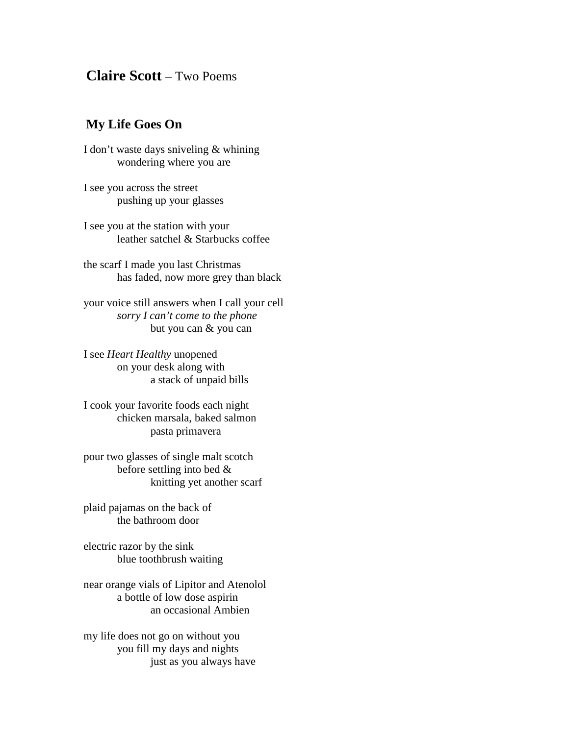## **Claire Scott** – Two Poems

## **My Life Goes On**

I don't waste days sniveling & whining wondering where you are

I see you across the street pushing up your glasses

I see you at the station with your leather satchel & Starbucks coffee

the scarf I made you last Christmas has faded, now more grey than black

your voice still answers when I call your cell *sorry I can't come to the phone* but you can & you can

I see *Heart Healthy* unopened on your desk along with a stack of unpaid bills

I cook your favorite foods each night chicken marsala, baked salmon pasta primavera

pour two glasses of single malt scotch before settling into bed & knitting yet another scarf

plaid pajamas on the back of the bathroom door

electric razor by the sink blue toothbrush waiting

near orange vials of Lipitor and Atenolol a bottle of low dose aspirin an occasional Ambien

my life does not go on without you you fill my days and nights just as you always have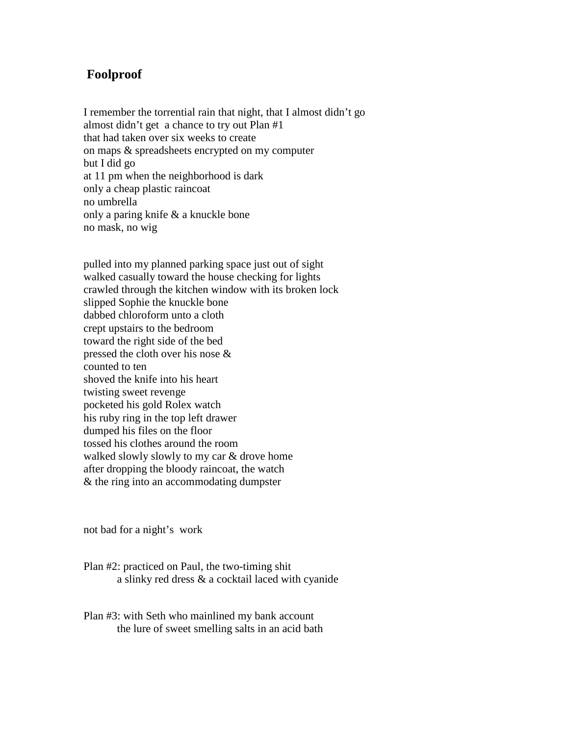## **Foolproof**

I remember the torrential rain that night, that I almost didn't go almost didn't get a chance to try out Plan #1 that had taken over six weeks to create on maps & spreadsheets encrypted on my computer but I did go at 11 pm when the neighborhood is dark only a cheap plastic raincoat no umbrella only a paring knife & a knuckle bone no mask, no wig

pulled into my planned parking space just out of sight walked casually toward the house checking for lights crawled through the kitchen window with its broken lock slipped Sophie the knuckle bone dabbed chloroform unto a cloth crept upstairs to the bedroom toward the right side of the bed pressed the cloth over his nose & counted to ten shoved the knife into his heart twisting sweet revenge pocketed his gold Rolex watch his ruby ring in the top left drawer dumped his files on the floor tossed his clothes around the room walked slowly slowly to my car & drove home after dropping the bloody raincoat, the watch & the ring into an accommodating dumpster

not bad for a night's work

Plan #2: practiced on Paul, the two-timing shit a slinky red dress & a cocktail laced with cyanide

Plan #3: with Seth who mainlined my bank account the lure of sweet smelling salts in an acid bath